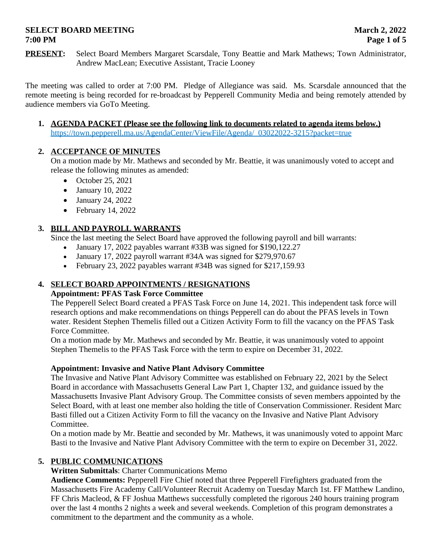# **SELECT BOARD MEETING MARGE 2022 7:00 PM Page 1 of 5**

**PRESENT:** Select Board Members Margaret Scarsdale, Tony Beattie and Mark Mathews; Town Administrator, Andrew MacLean; Executive Assistant, Tracie Looney

The meeting was called to order at 7:00 PM. Pledge of Allegiance was said. Ms. Scarsdale announced that the remote meeting is being recorded for re-broadcast by Pepperell Community Media and being remotely attended by audience members via GoTo Meeting.

**1. AGENDA PACKET (Please see the following link to documents related to agenda items below.)** https://town.pepperell.ma.us/AgendaCenter/ViewFile/Agenda/\_03022022-3215?packet=true

# **2. ACCEPTANCE OF MINUTES**

On a motion made by Mr. Mathews and seconded by Mr. Beattie, it was unanimously voted to accept and release the following minutes as amended:

- $\bullet$  October 25, 2021
- January 10, 2022
- January 24, 2022
- $\bullet$  February 14, 2022

# **3. BILL AND PAYROLL WARRANTS**

Since the last meeting the Select Board have approved the following payroll and bill warrants:

- January 17, 2022 payables warrant #33B was signed for \$190,122.27
- January 17, 2022 payroll warrant #34A was signed for \$279,970.67
- February 23, 2022 payables warrant #34B was signed for \$217,159.93

# **4. SELECT BOARD APPOINTMENTS / RESIGNATIONS**

# **Appointment: PFAS Task Force Committee**

The Pepperell Select Board created a PFAS Task Force on June 14, 2021. This independent task force will research options and make recommendations on things Pepperell can do about the PFAS levels in Town water. Resident Stephen Themelis filled out a Citizen Activity Form to fill the vacancy on the PFAS Task Force Committee.

On a motion made by Mr. Mathews and seconded by Mr. Beattie, it was unanimously voted to appoint Stephen Themelis to the PFAS Task Force with the term to expire on December 31, 2022.

# **Appointment: Invasive and Native Plant Advisory Committee**

The Invasive and Native Plant Advisory Committee was established on February 22, 2021 by the Select Board in accordance with Massachusetts General Law Part 1, Chapter 132, and guidance issued by the Massachusetts Invasive Plant Advisory Group. The Committee consists of seven members appointed by the Select Board, with at least one member also holding the title of Conservation Commissioner. Resident Marc Basti filled out a Citizen Activity Form to fill the vacancy on the Invasive and Native Plant Advisory Committee.

On a motion made by Mr. Beattie and seconded by Mr. Mathews, it was unanimously voted to appoint Marc Basti to the Invasive and Native Plant Advisory Committee with the term to expire on December 31, 2022.

# **5. PUBLIC COMMUNICATIONS**

**Written Submittals**: Charter Communications Memo

**Audience Comments:** Pepperell Fire Chief noted that three Pepperell Firefighters graduated from the Massachusetts Fire Academy Call/Volunteer Recruit Academy on Tuesday March 1st. FF Matthew Landino, FF Chris Macleod, & FF Joshua Matthews successfully completed the rigorous 240 hours training program over the last 4 months 2 nights a week and several weekends. Completion of this program demonstrates a commitment to the department and the community as a whole.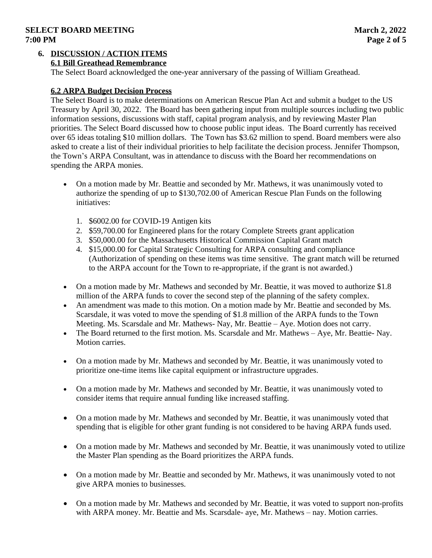# **SELECT BOARD MEETING MARGE 2022 7:00 PM Page 2 of 5**

### **6. DISCUSSION / ACTION ITEMS 6.1 Bill Greathead Remembrance**

The Select Board acknowledged the one-year anniversary of the passing of William Greathead.

# **6.2 ARPA Budget Decision Process**

The Select Board is to make determinations on American Rescue Plan Act and submit a budget to the US Treasury by April 30, 2022. The Board has been gathering input from multiple sources including two public information sessions, discussions with staff, capital program analysis, and by reviewing Master Plan priorities. The Select Board discussed how to choose public input ideas. The Board currently has received over 65 ideas totaling \$10 million dollars. The Town has \$3.62 million to spend. Board members were also asked to create a list of their individual priorities to help facilitate the decision process. Jennifer Thompson, the Town's ARPA Consultant, was in attendance to discuss with the Board her recommendations on spending the ARPA monies.

- On a motion made by Mr. Beattie and seconded by Mr. Mathews, it was unanimously voted to authorize the spending of up to \$130,702.00 of American Rescue Plan Funds on the following initiatives:
	- 1. \$6002.00 for COVID-19 Antigen kits
	- 2. \$59,700.00 for Engineered plans for the rotary Complete Streets grant application
	- 3. \$50,000.00 for the Massachusetts Historical Commission Capital Grant match
	- 4. \$15,000.00 for Capital Strategic Consulting for ARPA consulting and compliance (Authorization of spending on these items was time sensitive. The grant match will be returned to the ARPA account for the Town to re-appropriate, if the grant is not awarded.)
- On a motion made by Mr. Mathews and seconded by Mr. Beattie, it was moved to authorize \$1.8 million of the ARPA funds to cover the second step of the planning of the safety complex.
- An amendment was made to this motion. On a motion made by Mr. Beattie and seconded by Ms. Scarsdale, it was voted to move the spending of \$1.8 million of the ARPA funds to the Town Meeting. Ms. Scarsdale and Mr. Mathews- Nay, Mr. Beattie – Aye. Motion does not carry.
- The Board returned to the first motion. Ms. Scarsdale and Mr. Mathews Aye, Mr. Beattie- Nay. Motion carries.
- On a motion made by Mr. Mathews and seconded by Mr. Beattie, it was unanimously voted to prioritize one-time items like capital equipment or infrastructure upgrades.
- On a motion made by Mr. Mathews and seconded by Mr. Beattie, it was unanimously voted to consider items that require annual funding like increased staffing.
- On a motion made by Mr. Mathews and seconded by Mr. Beattie, it was unanimously voted that spending that is eligible for other grant funding is not considered to be having ARPA funds used.
- On a motion made by Mr. Mathews and seconded by Mr. Beattie, it was unanimously voted to utilize the Master Plan spending as the Board prioritizes the ARPA funds.
- On a motion made by Mr. Beattie and seconded by Mr. Mathews, it was unanimously voted to not give ARPA monies to businesses.
- On a motion made by Mr. Mathews and seconded by Mr. Beattie, it was voted to support non-profits with ARPA money. Mr. Beattie and Ms. Scarsdale- aye, Mr. Mathews – nay. Motion carries.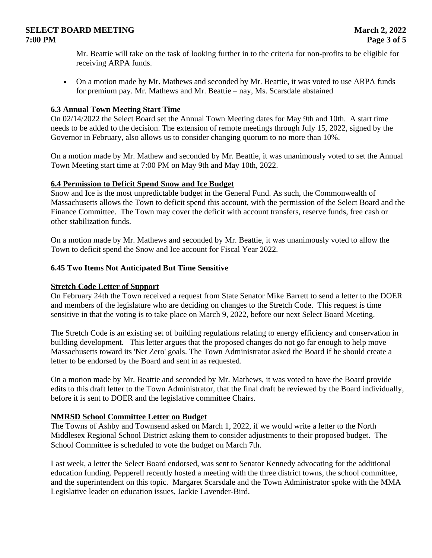# **SELECT BOARD MEETING** March 2, 2022 **7:00 PM Page 3 of 5**

Mr. Beattie will take on the task of looking further in to the criteria for non-profits to be eligible for receiving ARPA funds.

 On a motion made by Mr. Mathews and seconded by Mr. Beattie, it was voted to use ARPA funds for premium pay. Mr. Mathews and Mr. Beattie – nay, Ms. Scarsdale abstained

# **6.3 Annual Town Meeting Start Time**

On 02/14/2022 the Select Board set the Annual Town Meeting dates for May 9th and 10th. A start time needs to be added to the decision. The extension of remote meetings through July 15, 2022, signed by the Governor in February, also allows us to consider changing quorum to no more than 10%.

On a motion made by Mr. Mathew and seconded by Mr. Beattie, it was unanimously voted to set the Annual Town Meeting start time at 7:00 PM on May 9th and May 10th, 2022.

### **6.4 Permission to Deficit Spend Snow and Ice Budget**

Snow and Ice is the most unpredictable budget in the General Fund. As such, the Commonwealth of Massachusetts allows the Town to deficit spend this account, with the permission of the Select Board and the Finance Committee. The Town may cover the deficit with account transfers, reserve funds, free cash or other stabilization funds.

On a motion made by Mr. Mathews and seconded by Mr. Beattie, it was unanimously voted to allow the Town to deficit spend the Snow and Ice account for Fiscal Year 2022.

#### **6.45 Two Items Not Anticipated But Time Sensitive**

### **Stretch Code Letter of Support**

On February 24th the Town received a request from State Senator Mike Barrett to send a letter to the DOER and members of the legislature who are deciding on changes to the Stretch Code. This request is time sensitive in that the voting is to take place on March 9, 2022, before our next Select Board Meeting.

The Stretch Code is an existing set of building regulations relating to energy efficiency and conservation in building development. This letter argues that the proposed changes do not go far enough to help move Massachusetts toward its 'Net Zero' goals. The Town Administrator asked the Board if he should create a letter to be endorsed by the Board and sent in as requested.

On a motion made by Mr. Beattie and seconded by Mr. Mathews, it was voted to have the Board provide edits to this draft letter to the Town Administrator, that the final draft be reviewed by the Board individually, before it is sent to DOER and the legislative committee Chairs.

#### **NMRSD School Committee Letter on Budget**

The Towns of Ashby and Townsend asked on March 1, 2022, if we would write a letter to the North Middlesex Regional School District asking them to consider adjustments to their proposed budget. The School Committee is scheduled to vote the budget on March 7th.

Last week, a letter the Select Board endorsed, was sent to Senator Kennedy advocating for the additional education funding. Pepperell recently hosted a meeting with the three district towns, the school committee, and the superintendent on this topic. Margaret Scarsdale and the Town Administrator spoke with the MMA Legislative leader on education issues, Jackie Lavender-Bird.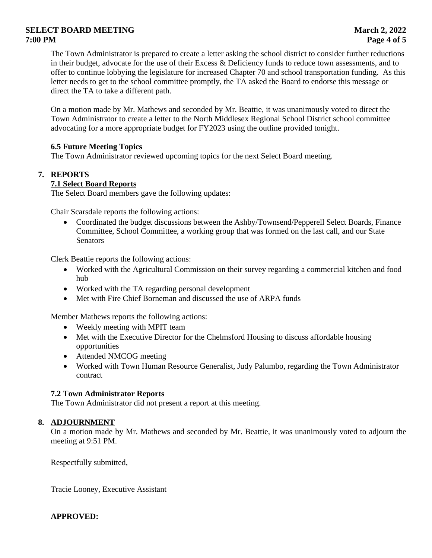# **SELECT BOARD MEETING MARGE 2022 7:00 PM Page 4 of 5**

The Town Administrator is prepared to create a letter asking the school district to consider further reductions in their budget, advocate for the use of their Excess & Deficiency funds to reduce town assessments, and to offer to continue lobbying the legislature for increased Chapter 70 and school transportation funding. As this letter needs to get to the school committee promptly, the TA asked the Board to endorse this message or direct the TA to take a different path.

On a motion made by Mr. Mathews and seconded by Mr. Beattie, it was unanimously voted to direct the Town Administrator to create a letter to the North Middlesex Regional School District school committee advocating for a more appropriate budget for FY2023 using the outline provided tonight.

# **6.5 Future Meeting Topics**

The Town Administrator reviewed upcoming topics for the next Select Board meeting.

# **7. REPORTS**

# **7.1 Select Board Reports**

The Select Board members gave the following updates:

Chair Scarsdale reports the following actions:

 Coordinated the budget discussions between the Ashby/Townsend/Pepperell Select Boards, Finance Committee, School Committee, a working group that was formed on the last call, and our State **Senators** 

Clerk Beattie reports the following actions:

- Worked with the Agricultural Commission on their survey regarding a commercial kitchen and food hub
- Worked with the TA regarding personal development
- Met with Fire Chief Borneman and discussed the use of ARPA funds

Member Mathews reports the following actions:

- Weekly meeting with MPIT team
- Met with the Executive Director for the Chelmsford Housing to discuss affordable housing opportunities
- Attended NMCOG meeting
- Worked with Town Human Resource Generalist, Judy Palumbo, regarding the Town Administrator contract

# **7.2 Town Administrator Reports**

The Town Administrator did not present a report at this meeting.

# **8. ADJOURNMENT**

On a motion made by Mr. Mathews and seconded by Mr. Beattie, it was unanimously voted to adjourn the meeting at 9:51 PM.

Respectfully submitted,

Tracie Looney, Executive Assistant

**APPROVED:**